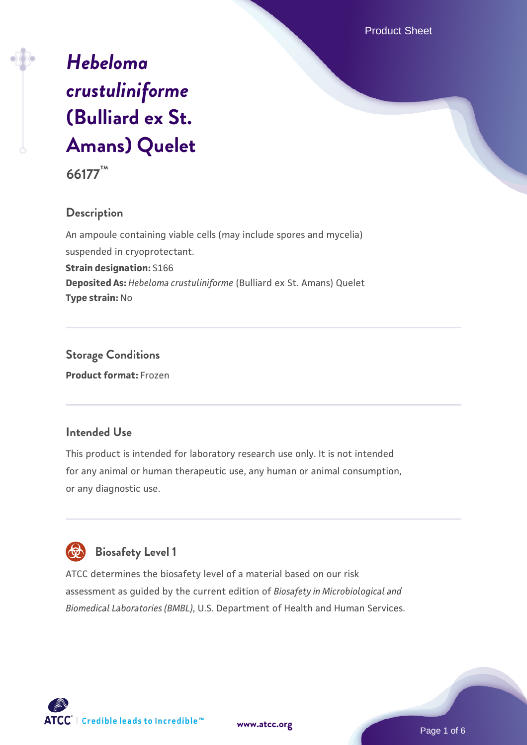Product Sheet

# *[Hebeloma](https://www.atcc.org/products/66177) [crustuliniforme](https://www.atcc.org/products/66177)* **[\(Bulliard ex St.](https://www.atcc.org/products/66177) [Amans\) Quelet](https://www.atcc.org/products/66177)**

**66177™**

# **Description**

An ampoule containing viable cells (may include spores and mycelia) suspended in cryoprotectant.

**Strain designation:** S166

**Deposited As:** *Hebeloma crustuliniforme* (Bulliard ex St. Amans) Quelet **Type strain:** No

**Storage Conditions Product format:** Frozen

# **Intended Use**

This product is intended for laboratory research use only. It is not intended for any animal or human therapeutic use, any human or animal consumption, or any diagnostic use.

# **Biosafety Level 1**

ATCC determines the biosafety level of a material based on our risk assessment as guided by the current edition of *Biosafety in Microbiological and Biomedical Laboratories (BMBL)*, U.S. Department of Health and Human Services.



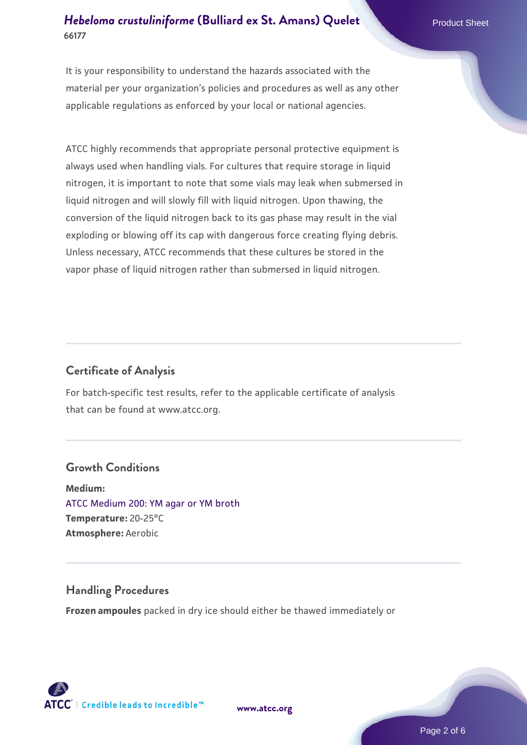It is your responsibility to understand the hazards associated with the material per your organization's policies and procedures as well as any other applicable regulations as enforced by your local or national agencies.

ATCC highly recommends that appropriate personal protective equipment is always used when handling vials. For cultures that require storage in liquid nitrogen, it is important to note that some vials may leak when submersed in liquid nitrogen and will slowly fill with liquid nitrogen. Upon thawing, the conversion of the liquid nitrogen back to its gas phase may result in the vial exploding or blowing off its cap with dangerous force creating flying debris. Unless necessary, ATCC recommends that these cultures be stored in the vapor phase of liquid nitrogen rather than submersed in liquid nitrogen.

# **Certificate of Analysis**

For batch-specific test results, refer to the applicable certificate of analysis that can be found at www.atcc.org.

#### **Growth Conditions**

**Medium:**  [ATCC Medium 200: YM agar or YM broth](https://www.atcc.org/-/media/product-assets/documents/microbial-media-formulations/2/0/0/atcc-medium-200.pdf?rev=ac40fd74dc13433a809367b0b9da30fc) **Temperature:** 20-25°C **Atmosphere:** Aerobic

# **Handling Procedures**

**Frozen ampoules** packed in dry ice should either be thawed immediately or



**[www.atcc.org](http://www.atcc.org)**

Page 2 of 6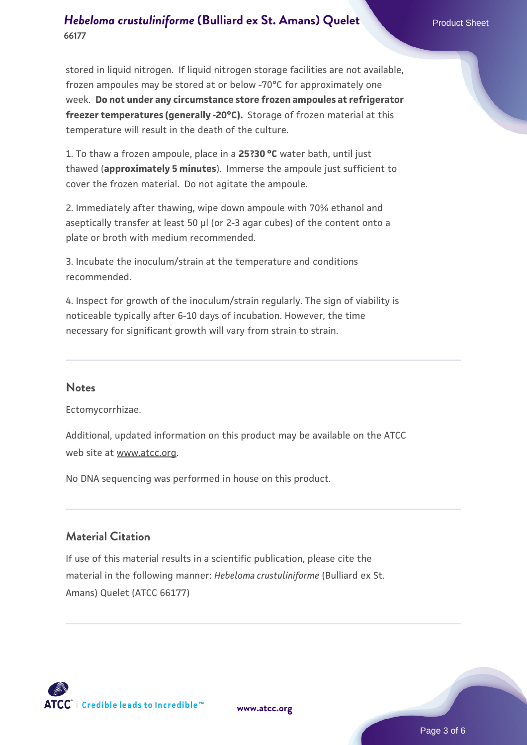stored in liquid nitrogen. If liquid nitrogen storage facilities are not available, frozen ampoules may be stored at or below -70°C for approximately one week. **Do not under any circumstance store frozen ampoules at refrigerator freezer temperatures (generally -20°C).** Storage of frozen material at this temperature will result in the death of the culture.

1. To thaw a frozen ampoule, place in a **25?30 °C** water bath, until just thawed (**approximately 5 minutes**). Immerse the ampoule just sufficient to cover the frozen material. Do not agitate the ampoule.

2. Immediately after thawing, wipe down ampoule with 70% ethanol and aseptically transfer at least 50 µl (or 2-3 agar cubes) of the content onto a plate or broth with medium recommended.

3. Incubate the inoculum/strain at the temperature and conditions recommended.

4. Inspect for growth of the inoculum/strain regularly. The sign of viability is noticeable typically after 6-10 days of incubation. However, the time necessary for significant growth will vary from strain to strain.

#### **Notes**

Ectomycorrhizae.

Additional, updated information on this product may be available on the ATCC web site at www.atcc.org.

No DNA sequencing was performed in house on this product.

# **Material Citation**

If use of this material results in a scientific publication, please cite the material in the following manner: *Hebeloma crustuliniforme* (Bulliard ex St. Amans) Quelet (ATCC 66177)



**[www.atcc.org](http://www.atcc.org)**

Page 3 of 6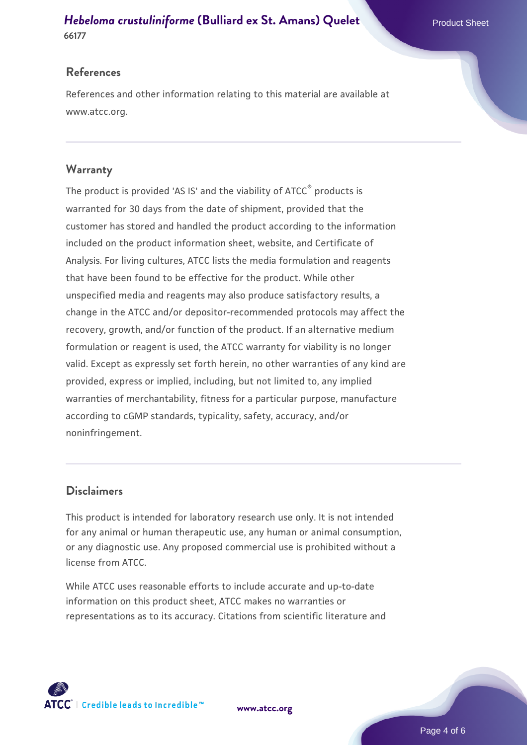#### **References**

References and other information relating to this material are available at www.atcc.org.

## **Warranty**

The product is provided 'AS IS' and the viability of ATCC® products is warranted for 30 days from the date of shipment, provided that the customer has stored and handled the product according to the information included on the product information sheet, website, and Certificate of Analysis. For living cultures, ATCC lists the media formulation and reagents that have been found to be effective for the product. While other unspecified media and reagents may also produce satisfactory results, a change in the ATCC and/or depositor-recommended protocols may affect the recovery, growth, and/or function of the product. If an alternative medium formulation or reagent is used, the ATCC warranty for viability is no longer valid. Except as expressly set forth herein, no other warranties of any kind are provided, express or implied, including, but not limited to, any implied warranties of merchantability, fitness for a particular purpose, manufacture according to cGMP standards, typicality, safety, accuracy, and/or noninfringement.

#### **Disclaimers**

This product is intended for laboratory research use only. It is not intended for any animal or human therapeutic use, any human or animal consumption, or any diagnostic use. Any proposed commercial use is prohibited without a license from ATCC.

While ATCC uses reasonable efforts to include accurate and up-to-date information on this product sheet, ATCC makes no warranties or representations as to its accuracy. Citations from scientific literature and



**[www.atcc.org](http://www.atcc.org)**

Page 4 of 6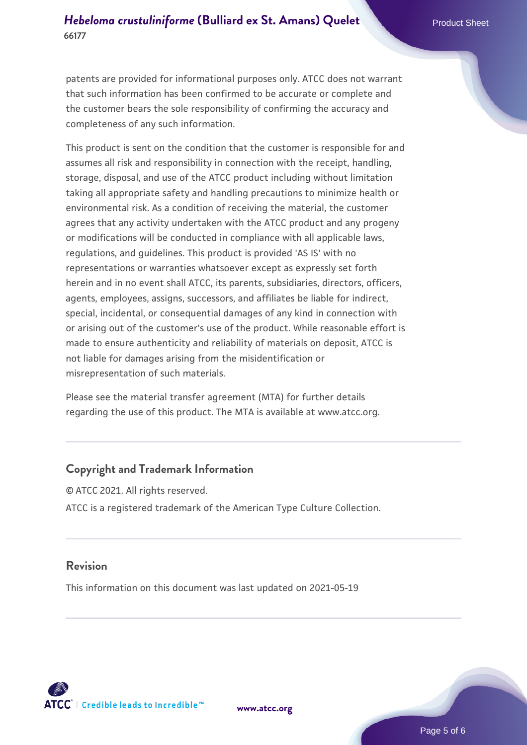patents are provided for informational purposes only. ATCC does not warrant that such information has been confirmed to be accurate or complete and the customer bears the sole responsibility of confirming the accuracy and completeness of any such information.

This product is sent on the condition that the customer is responsible for and assumes all risk and responsibility in connection with the receipt, handling, storage, disposal, and use of the ATCC product including without limitation taking all appropriate safety and handling precautions to minimize health or environmental risk. As a condition of receiving the material, the customer agrees that any activity undertaken with the ATCC product and any progeny or modifications will be conducted in compliance with all applicable laws, regulations, and guidelines. This product is provided 'AS IS' with no representations or warranties whatsoever except as expressly set forth herein and in no event shall ATCC, its parents, subsidiaries, directors, officers, agents, employees, assigns, successors, and affiliates be liable for indirect, special, incidental, or consequential damages of any kind in connection with or arising out of the customer's use of the product. While reasonable effort is made to ensure authenticity and reliability of materials on deposit, ATCC is not liable for damages arising from the misidentification or misrepresentation of such materials.

Please see the material transfer agreement (MTA) for further details regarding the use of this product. The MTA is available at www.atcc.org.

#### **Copyright and Trademark Information**

© ATCC 2021. All rights reserved. ATCC is a registered trademark of the American Type Culture Collection.

#### **Revision**

This information on this document was last updated on 2021-05-19



**[www.atcc.org](http://www.atcc.org)**

Page 5 of 6